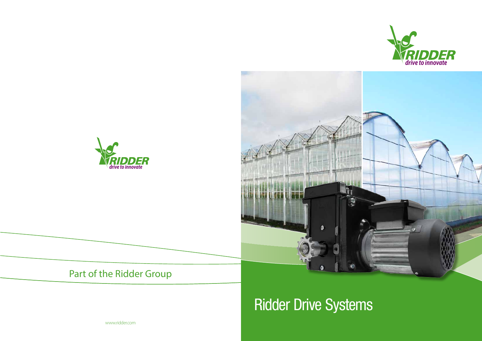





# Ridder Drive Systems

www.ridder.com



#### Part of the Ridder Group

*drive to innovate*